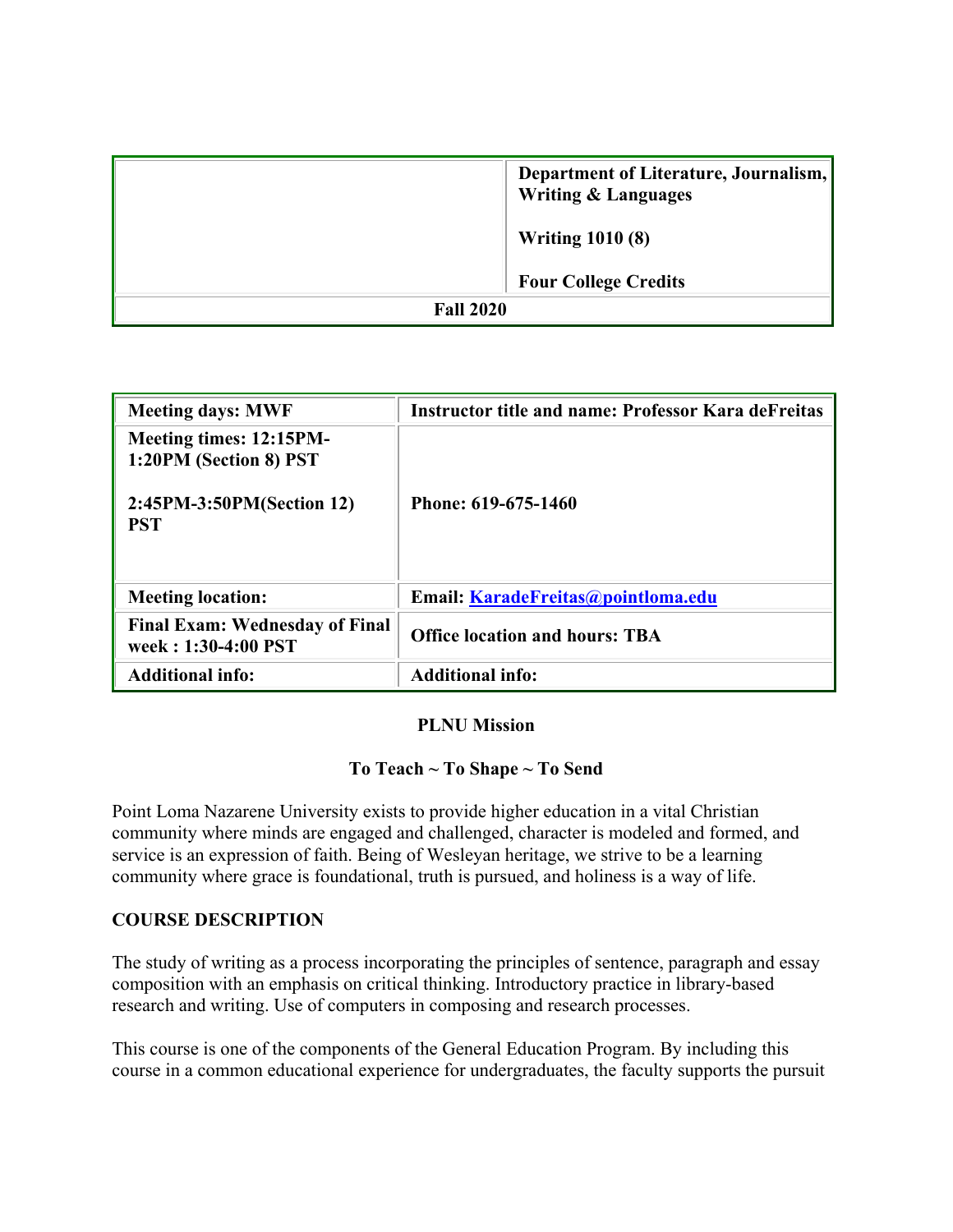|                  | Department of Literature, Journalism,<br><b>Writing &amp; Languages</b> |
|------------------|-------------------------------------------------------------------------|
|                  | <b>Writing 1010 (8)</b>                                                 |
|                  | <b>Four College Credits</b>                                             |
| <b>Fall 2020</b> |                                                                         |

| <b>Meeting days: MWF</b>                                     | <b>Instructor title and name: Professor Kara deFreitas</b> |
|--------------------------------------------------------------|------------------------------------------------------------|
| Meeting times: 12:15PM-<br>1:20PM (Section 8) PST            |                                                            |
| 2:45PM-3:50PM(Section 12)<br><b>PST</b>                      | Phone: 619-675-1460                                        |
| <b>Meeting location:</b>                                     | Email: KaradeFreitas@pointloma.edu                         |
| <b>Final Exam: Wednesday of Final</b><br>week: 1:30-4:00 PST | <b>Office location and hours: TBA</b>                      |
| <b>Additional info:</b>                                      | <b>Additional info:</b>                                    |

#### **PLNU Mission**

## **To Teach ~ To Shape ~ To Send**

Point Loma Nazarene University exists to provide higher education in a vital Christian community where minds are engaged and challenged, character is modeled and formed, and service is an expression of faith. Being of Wesleyan heritage, we strive to be a learning community where grace is foundational, truth is pursued, and holiness is a way of life.

## **COURSE DESCRIPTION**

The study of writing as a process incorporating the principles of sentence, paragraph and essay composition with an emphasis on critical thinking. Introductory practice in library-based research and writing. Use of computers in composing and research processes.

This course is one of the components of the General Education Program. By including this course in a common educational experience for undergraduates, the faculty supports the pursuit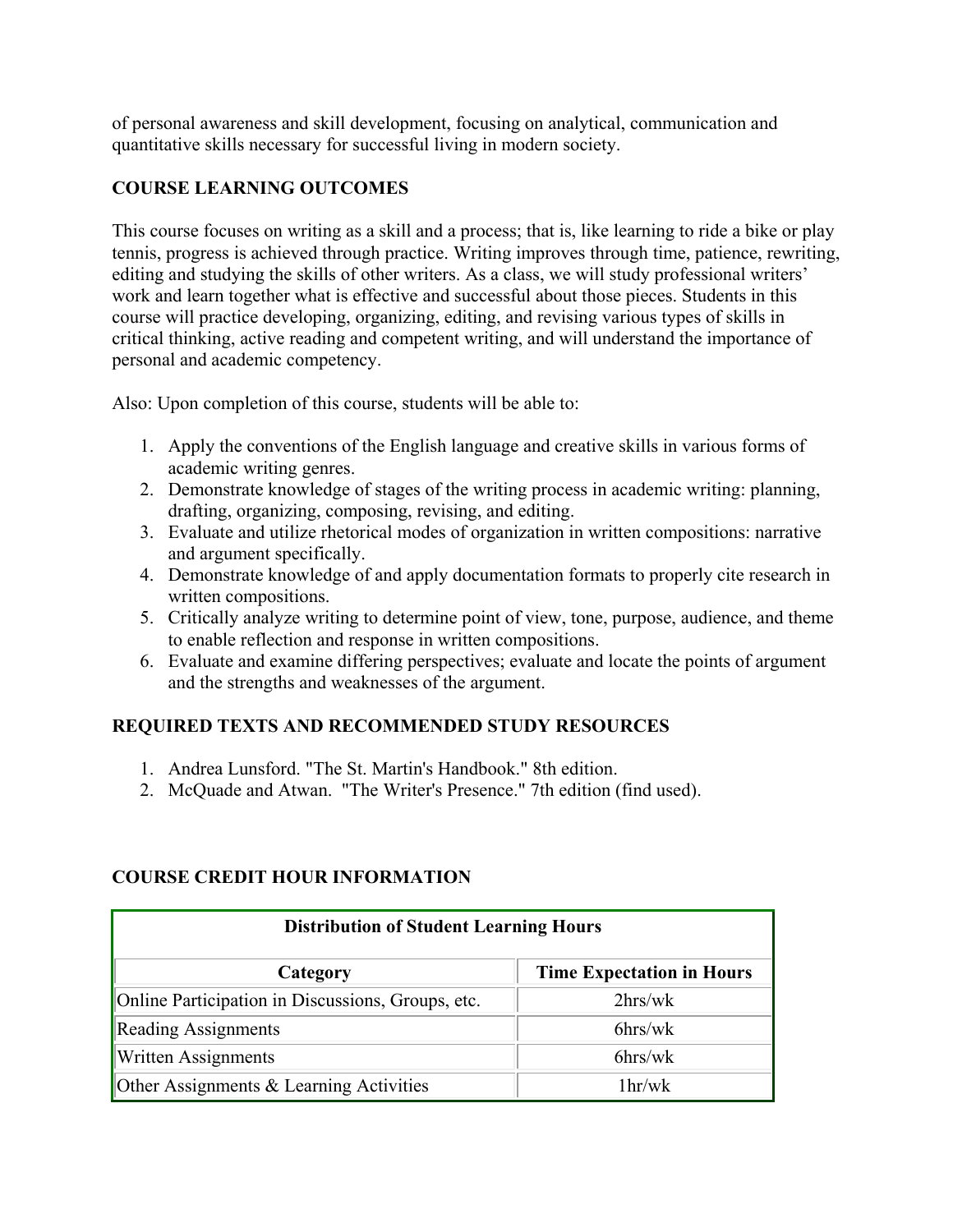of personal awareness and skill development, focusing on analytical, communication and quantitative skills necessary for successful living in modern society.

# **COURSE LEARNING OUTCOMES**

This course focuses on writing as a skill and a process; that is, like learning to ride a bike or play tennis, progress is achieved through practice. Writing improves through time, patience, rewriting, editing and studying the skills of other writers. As a class, we will study professional writers' work and learn together what is effective and successful about those pieces. Students in this course will practice developing, organizing, editing, and revising various types of skills in critical thinking, active reading and competent writing, and will understand the importance of personal and academic competency.

Also: Upon completion of this course, students will be able to:

- 1. Apply the conventions of the English language and creative skills in various forms of academic writing genres.
- 2. Demonstrate knowledge of stages of the writing process in academic writing: planning, drafting, organizing, composing, revising, and editing.
- 3. Evaluate and utilize rhetorical modes of organization in written compositions: narrative and argument specifically.
- 4. Demonstrate knowledge of and apply documentation formats to properly cite research in written compositions.
- 5. Critically analyze writing to determine point of view, tone, purpose, audience, and theme to enable reflection and response in written compositions.
- 6. Evaluate and examine differing perspectives; evaluate and locate the points of argument and the strengths and weaknesses of the argument.

# **REQUIRED TEXTS AND RECOMMENDED STUDY RESOURCES**

- 1. Andrea Lunsford. "The St. Martin's Handbook." 8th edition.
- 2. McQuade and Atwan. "The Writer's Presence." 7th edition (find used).

## **COURSE CREDIT HOUR INFORMATION**

| <b>Distribution of Student Learning Hours</b>     |                                  |  |  |  |
|---------------------------------------------------|----------------------------------|--|--|--|
| Category                                          | <b>Time Expectation in Hours</b> |  |  |  |
| Online Participation in Discussions, Groups, etc. | $2\text{hrs}/\text{wk}$          |  |  |  |
| <b>Reading Assignments</b>                        | $6$ hrs/wk                       |  |  |  |
| <b>Written Assignments</b>                        | $6$ hrs/wk                       |  |  |  |
| Other Assignments & Learning Activities           | 1 <sup>hr</sup> /w <sup>k</sup>  |  |  |  |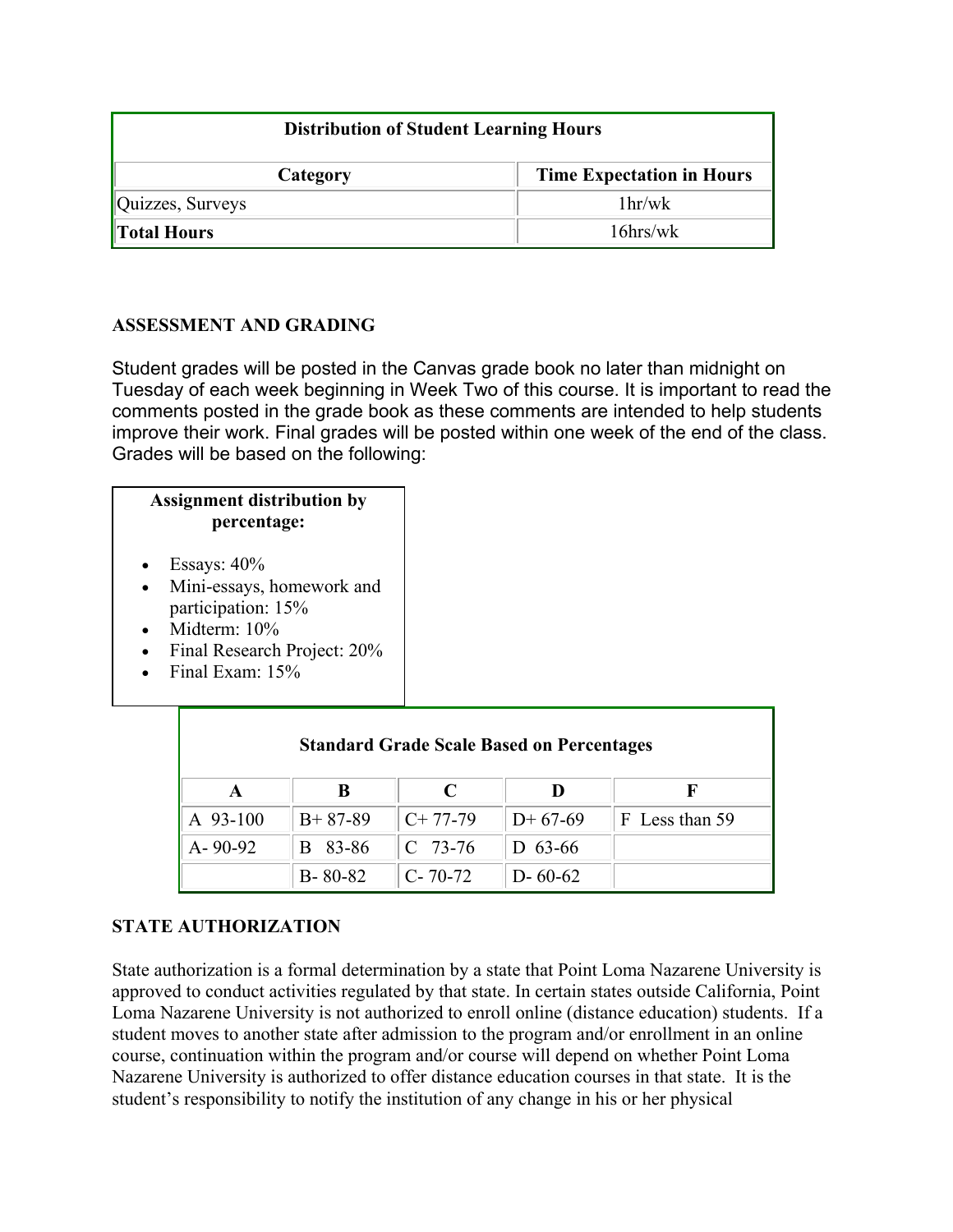| <b>Distribution of Student Learning Hours</b> |                                  |  |  |
|-----------------------------------------------|----------------------------------|--|--|
| Category                                      | <b>Time Expectation in Hours</b> |  |  |
| Quizzes, Surveys                              | 1 <sup>hr</sup> /w <sup>k</sup>  |  |  |
| <b>Total Hours</b>                            | $16$ hrs/wk                      |  |  |

# **ASSESSMENT AND GRADING**

Student grades will be posted in the Canvas grade book no later than midnight on Tuesday of each week beginning in Week Two of this course. It is important to read the comments posted in the grade book as these comments are intended to help students improve their work. Final grades will be posted within one week of the end of the class. Grades will be based on the following:

#### **Assignment distribution by percentage:**

- Essays:  $40\%$
- Mini-essays, homework and participation: 15%
- Midterm:  $10\%$
- Final Research Project: 20%
- Final Exam: 15%

| <b>Standard Grade Scale Based on Percentages</b> |               |               |               |                |  |  |
|--------------------------------------------------|---------------|---------------|---------------|----------------|--|--|
|                                                  | ĸ             | C             |               |                |  |  |
| A 93-100                                         | $B+87-89$     | $C+77-79$     | $D+67-69$     | F Less than 59 |  |  |
| $A - 90 - 92$                                    | 83-86<br>R    | $C$ 73-76     | D 63-66       |                |  |  |
|                                                  | $B - 80 - 82$ | $C - 70 - 72$ | $D - 60 - 62$ |                |  |  |

## **STATE AUTHORIZATION**

State authorization is a formal determination by a state that Point Loma Nazarene University is approved to conduct activities regulated by that state. In certain states outside California, Point Loma Nazarene University is not authorized to enroll online (distance education) students. If a student moves to another state after admission to the program and/or enrollment in an online course, continuation within the program and/or course will depend on whether Point Loma Nazarene University is authorized to offer distance education courses in that state. It is the student's responsibility to notify the institution of any change in his or her physical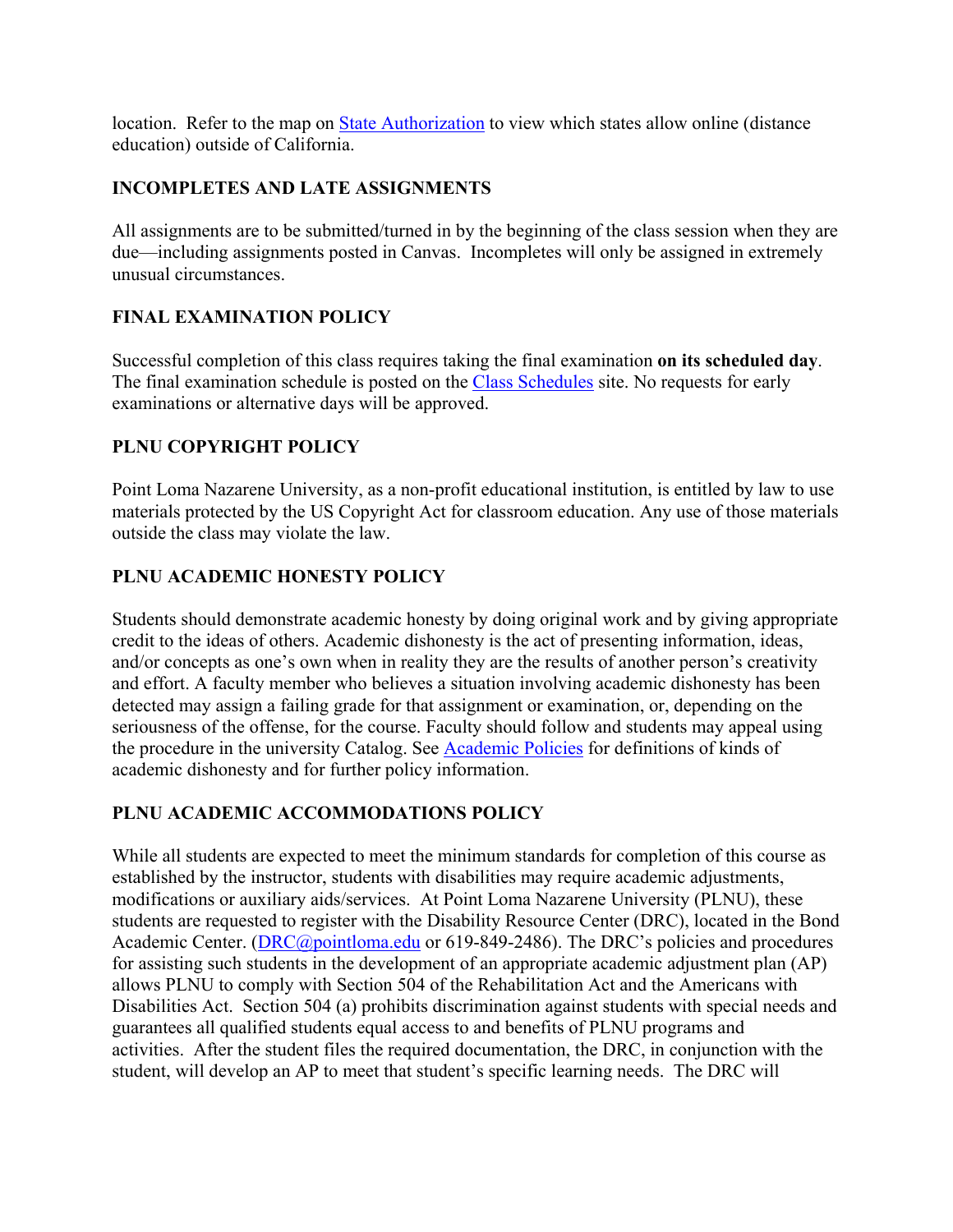location. Refer to the map on [State Authorization](https://www.pointloma.edu/offices/office-institutional-effectiveness-research/disclosures) to view which states allow online (distance education) outside of California.

# **INCOMPLETES AND LATE ASSIGNMENTS**

All assignments are to be submitted/turned in by the beginning of the class session when they are due—including assignments posted in Canvas. Incompletes will only be assigned in extremely unusual circumstances.

# **FINAL EXAMINATION POLICY**

Successful completion of this class requires taking the final examination **on its scheduled day**. The final examination schedule is posted on the [Class Schedules](http://www.pointloma.edu/experience/academics/class-schedules) site. No requests for early examinations or alternative days will be approved.

# **PLNU COPYRIGHT POLICY**

Point Loma Nazarene University, as a non-profit educational institution, is entitled by law to use materials protected by the US Copyright Act for classroom education. Any use of those materials outside the class may violate the law.

# **PLNU ACADEMIC HONESTY POLICY**

Students should demonstrate academic honesty by doing original work and by giving appropriate credit to the ideas of others. Academic dishonesty is the act of presenting information, ideas, and/or concepts as one's own when in reality they are the results of another person's creativity and effort. A faculty member who believes a situation involving academic dishonesty has been detected may assign a failing grade for that assignment or examination, or, depending on the seriousness of the offense, for the course. Faculty should follow and students may appeal using the procedure in the university Catalog. See [Academic Policies](http://catalog.pointloma.edu/content.php?catoid=18&navoid=1278) for definitions of kinds of academic dishonesty and for further policy information.

# **PLNU ACADEMIC ACCOMMODATIONS POLICY**

While all students are expected to meet the minimum standards for completion of this course as established by the instructor, students with disabilities may require academic adjustments, modifications or auxiliary aids/services. At Point Loma Nazarene University (PLNU), these students are requested to register with the Disability Resource Center (DRC), located in the Bond Academic Center. [\(DRC@pointloma.edu](mailto:DRC@pointloma.edu) or 619-849-2486). The DRC's policies and procedures for assisting such students in the development of an appropriate academic adjustment plan (AP) allows PLNU to comply with Section 504 of the Rehabilitation Act and the Americans with Disabilities Act. Section 504 (a) prohibits discrimination against students with special needs and guarantees all qualified students equal access to and benefits of PLNU programs and activities. After the student files the required documentation, the DRC, in conjunction with the student, will develop an AP to meet that student's specific learning needs. The DRC will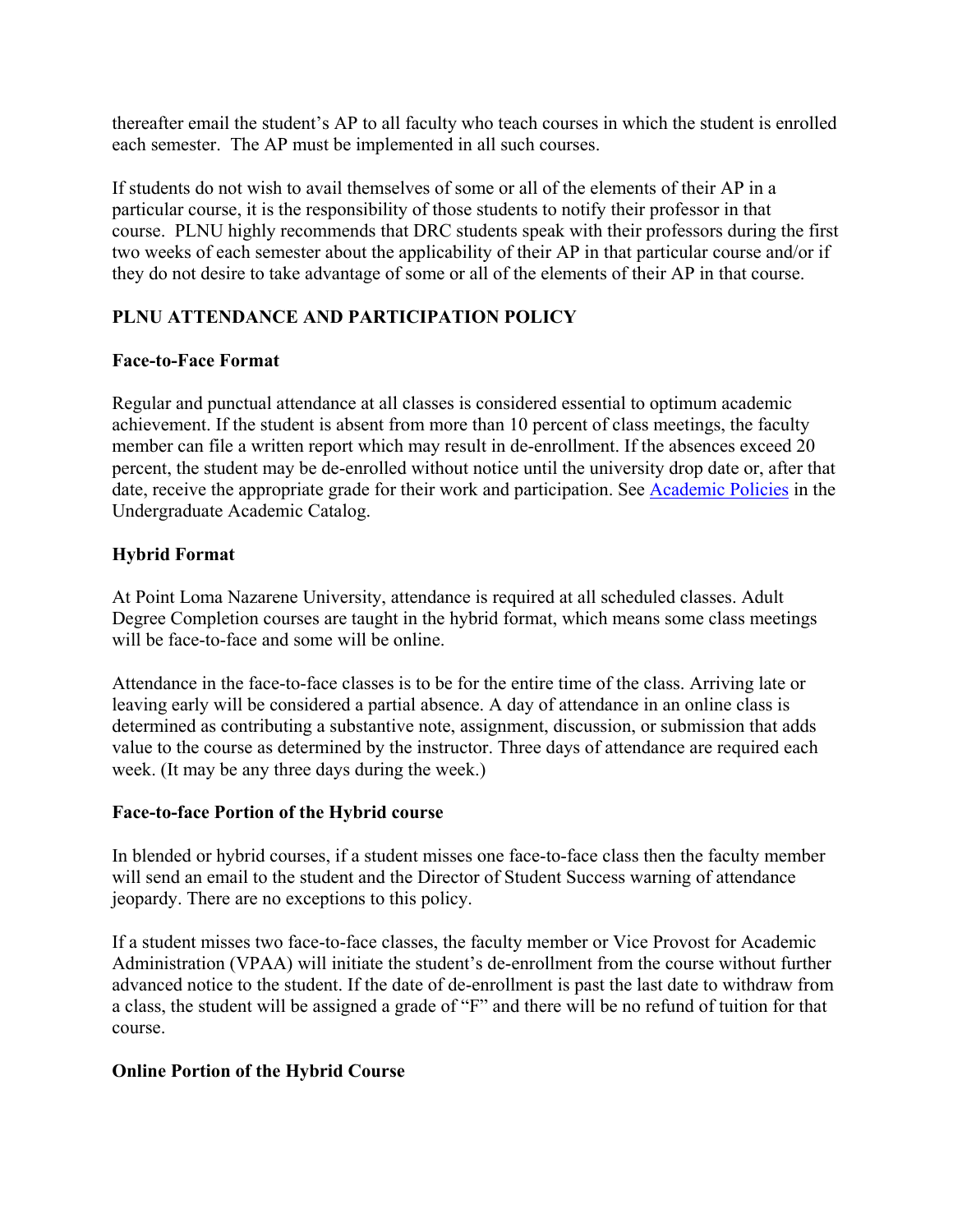thereafter email the student's AP to all faculty who teach courses in which the student is enrolled each semester. The AP must be implemented in all such courses.

If students do not wish to avail themselves of some or all of the elements of their AP in a particular course, it is the responsibility of those students to notify their professor in that course. PLNU highly recommends that DRC students speak with their professors during the first two weeks of each semester about the applicability of their AP in that particular course and/or if they do not desire to take advantage of some or all of the elements of their AP in that course.

# **PLNU ATTENDANCE AND PARTICIPATION POLICY**

### **Face-to-Face Format**

Regular and punctual attendance at all classes is considered essential to optimum academic achievement. If the student is absent from more than 10 percent of class meetings, the faculty member can file a written report which may result in de-enrollment. If the absences exceed 20 percent, the student may be de-enrolled without notice until the university drop date or, after that date, receive the appropriate grade for their work and participation. See [Academic Policies](http://catalog.pointloma.edu/content.php?catoid=18&navoid=1278) in the Undergraduate Academic Catalog.

### **Hybrid Format**

At Point Loma Nazarene University, attendance is required at all scheduled classes. Adult Degree Completion courses are taught in the hybrid format, which means some class meetings will be face-to-face and some will be online.

Attendance in the face-to-face classes is to be for the entire time of the class. Arriving late or leaving early will be considered a partial absence. A day of attendance in an online class is determined as contributing a substantive note, assignment, discussion, or submission that adds value to the course as determined by the instructor. Three days of attendance are required each week. (It may be any three days during the week.)

#### **Face-to-face Portion of the Hybrid course**

In blended or hybrid courses, if a student misses one face-to-face class then the faculty member will send an email to the student and the Director of Student Success warning of attendance jeopardy. There are no exceptions to this policy.

If a student misses two face-to-face classes, the faculty member or Vice Provost for Academic Administration (VPAA) will initiate the student's de-enrollment from the course without further advanced notice to the student. If the date of de-enrollment is past the last date to withdraw from a class, the student will be assigned a grade of "F" and there will be no refund of tuition for that course.

## **Online Portion of the Hybrid Course**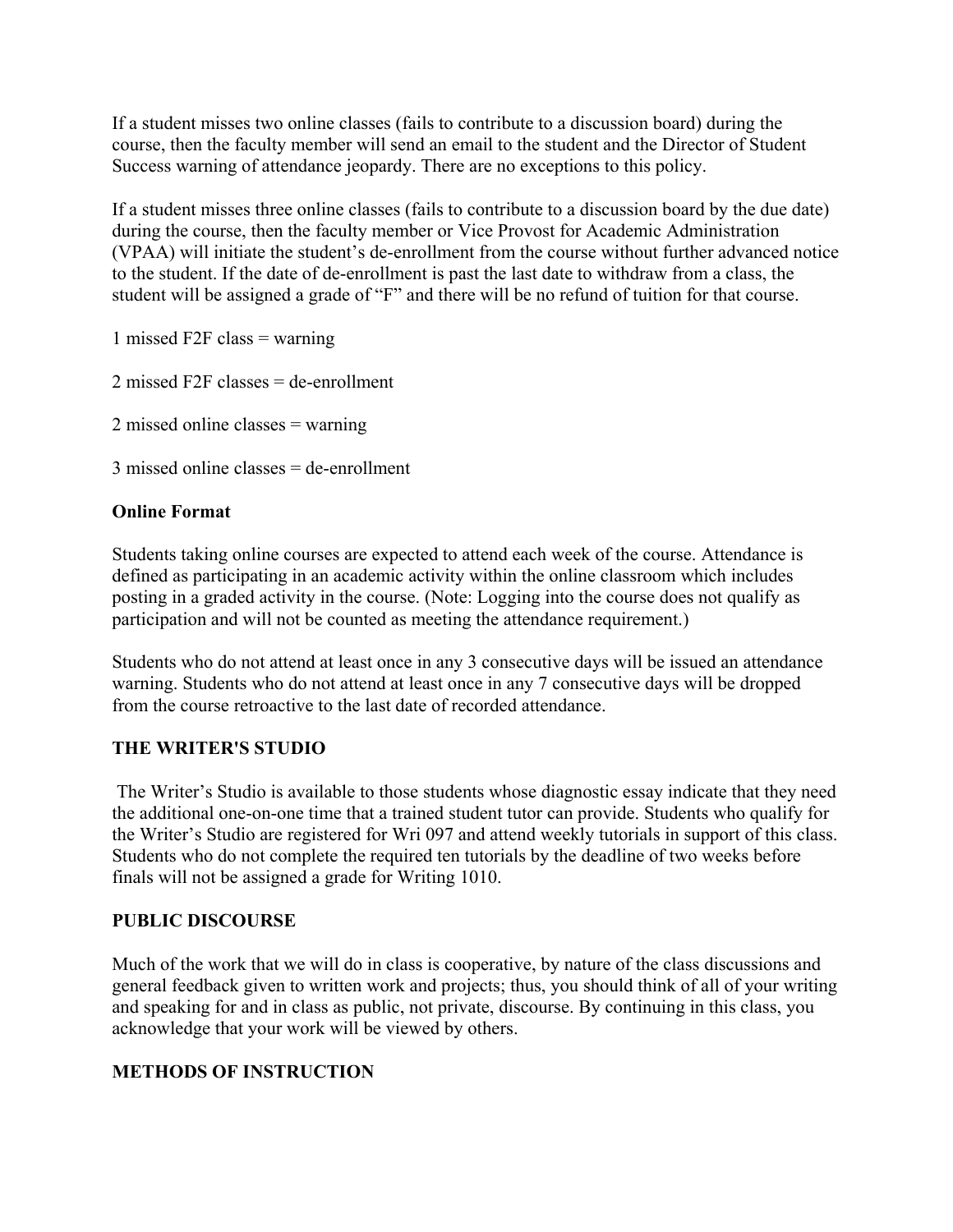If a student misses two online classes (fails to contribute to a discussion board) during the course, then the faculty member will send an email to the student and the Director of Student Success warning of attendance jeopardy. There are no exceptions to this policy.

If a student misses three online classes (fails to contribute to a discussion board by the due date) during the course, then the faculty member or Vice Provost for Academic Administration (VPAA) will initiate the student's de-enrollment from the course without further advanced notice to the student. If the date of de-enrollment is past the last date to withdraw from a class, the student will be assigned a grade of "F" and there will be no refund of tuition for that course.

1 missed F2F class = warning

2 missed F2F classes = de-enrollment

2 missed online classes = warning

3 missed online classes = de-enrollment

### **Online Format**

Students taking online courses are expected to attend each week of the course. Attendance is defined as participating in an academic activity within the online classroom which includes posting in a graded activity in the course. (Note: Logging into the course does not qualify as participation and will not be counted as meeting the attendance requirement.)

Students who do not attend at least once in any 3 consecutive days will be issued an attendance warning. Students who do not attend at least once in any 7 consecutive days will be dropped from the course retroactive to the last date of recorded attendance.

#### **THE WRITER'S STUDIO**

The Writer's Studio is available to those students whose diagnostic essay indicate that they need the additional one-on-one time that a trained student tutor can provide. Students who qualify for the Writer's Studio are registered for Wri 097 and attend weekly tutorials in support of this class. Students who do not complete the required ten tutorials by the deadline of two weeks before finals will not be assigned a grade for Writing 1010.

#### **PUBLIC DISCOURSE**

Much of the work that we will do in class is cooperative, by nature of the class discussions and general feedback given to written work and projects; thus, you should think of all of your writing and speaking for and in class as public, not private, discourse. By continuing in this class, you acknowledge that your work will be viewed by others.

## **METHODS OF INSTRUCTION**